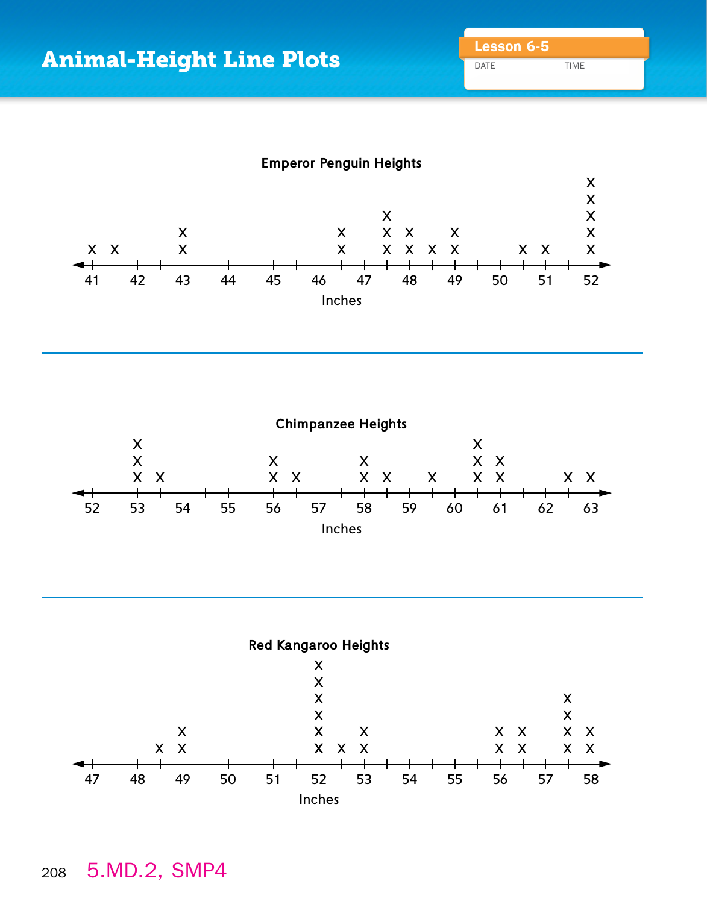DATE TIME







## $\mathbb{E}(\mathbf{z}_0|\mathbf{z}_0)=\mathbb{E}(\mathbf{z}_0|\mathbf{z}_0)$ <sup>208</sup> 5.MD.2, SMP4